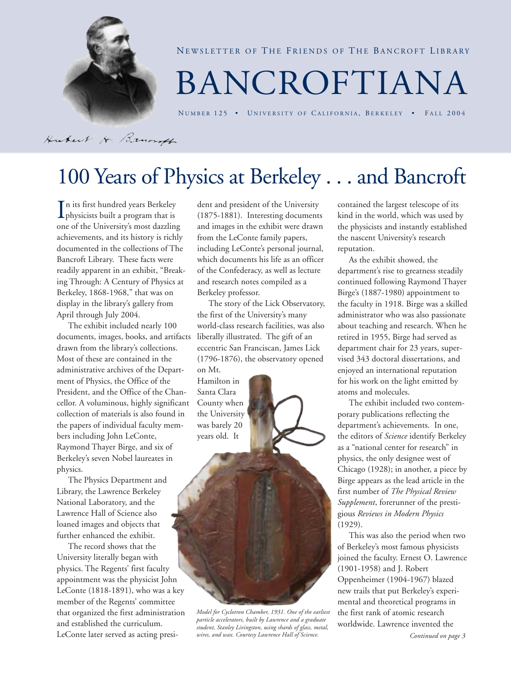

NEWSLETTER OF THE FRIENDS OF THE BANCROFT LIBRARY

# BANCROFTIANA

NUMBER 125 • UNIVERSITY OF CALIFORNIA, BERKELEY • FALL 2004

Hubert H. Brunsf

# 100 Years of Physics at Berkeley . . . and Bancroft

In its first hundred years Berkeley<br>physicists built a program that is physicists built a program that is one of the University's most dazzling achievements, and its history is richly documented in the collections of The Bancroft Library. These facts were readily apparent in an exhibit, "Breaking Through: A Century of Physics at Berkeley, 1868-1968," that was on display in the library's gallery from April through July 2004.

The exhibit included nearly 100 documents, images, books, and artifacts drawn from the library's collections. Most of these are contained in the administrative archives of the Department of Physics, the Office of the President, and the Office of the Chancellor. A voluminous, highly significant collection of materials is also found in the papers of individual faculty members including John LeConte, Raymond Thayer Birge, and six of Berkeley's seven Nobel laureates in physics.

The Physics Department and Library, the Lawrence Berkeley National Laboratory, and the Lawrence Hall of Science also loaned images and objects that further enhanced the exhibit.

The record shows that the University literally began with physics. The Regents' first faculty appointment was the physicist John LeConte (1818-1891), who was a key member of the Regents' committee that organized the first administration and established the curriculum. LeConte later served as acting president and president of the University (1875-1881). Interesting documents and images in the exhibit were drawn from the LeConte family papers, including LeConte's personal journal, which documents his life as an officer of the Confederacy, as well as lecture and research notes compiled as a Berkeley professor.

The story of the Lick Observatory, the first of the University's many world-class research facilities, was also liberally illustrated. The gift of an eccentric San Franciscan, James Lick (1796-1876), the observatory opened on Mt.

Hamilton in Santa Clara County when the University was barely 20 years old. It

contained the largest telescope of its kind in the world, which was used by the physicists and instantly established the nascent University's research reputation.

As the exhibit showed, the department's rise to greatness steadily continued following Raymond Thayer Birge's (1887-1980) appointment to the faculty in 1918. Birge was a skilled administrator who was also passionate about teaching and research. When he retired in 1955, Birge had served as department chair for 23 years, supervised 343 doctoral dissertations, and enjoyed an international reputation for his work on the light emitted by atoms and molecules.

The exhibit included two contemporary publications reflecting the department's achievements. In one, the editors of *Science* identify Berkeley as a "national center for research" in physics, the only designee west of Chicago (1928); in another, a piece by Birge appears as the lead article in the first number of *The Physical Review Supplement*, forerunner of the prestigious *Reviews in Modern Physics* (1929).

This was also the period when two of Berkeley's most famous physicists joined the faculty. Ernest O. Lawrence (1901-1958) and J. Robert Oppenheimer (1904-1967) blazed new trails that put Berkeley's experimental and theoretical programs in the first rank of atomic research worldwide. Lawrence invented the

*Model for Cyclotron Chamber, 1931. One of the earliest particle accelerators, built by Lawrence and a graduate student, Stanley Livingston, using shards of glass, metal, wires, and wax. Courtesy Lawrence Hall of Science.*

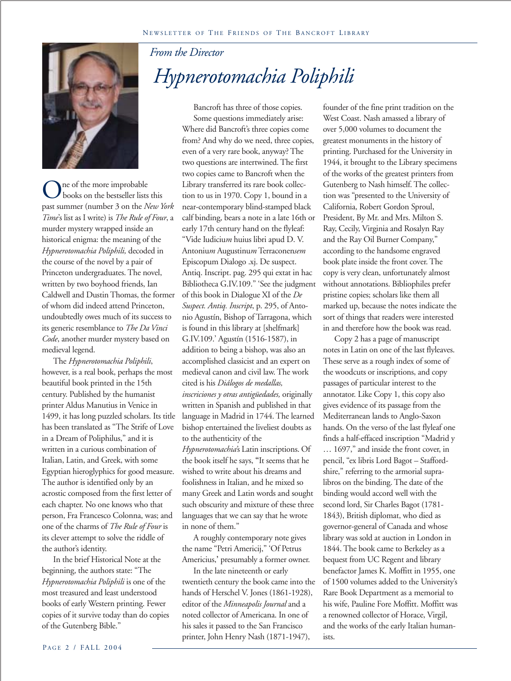

ne of the more improbable books on the bestseller lists this past summer (number 3 on the *New York Time*'s list as I write) is *The Rule of Four*, a murder mystery wrapped inside an historical enigma: the meaning of the *Hypnerotomachia Poliphili,* decoded in the course of the novel by a pair of Princeton undergraduates. The novel, written by two boyhood friends, Ian Caldwell and Dustin Thomas, the former of whom did indeed attend Princeton, undoubtedly owes much of its success to its generic resemblance to *The Da Vinci Code*, another murder mystery based on medieval legend.

The *Hypnerotomachia Poliphili*, however, is a real book, perhaps the most beautiful book printed in the 15th century. Published by the humanist printer Aldus Manutius in Venice in 1499, it has long puzzled scholars. Its title has been translated as "The Strife of Love in a Dream of Poliphilus," and it is written in a curious combination of Italian, Latin, and Greek, with some Egyptian hieroglyphics for good measure. The author is identified only by an acrostic composed from the first letter of each chapter. No one knows who that person, Fra Francesco Colonna, was; and one of the charms of *The Rule of Four* is its clever attempt to solve the riddle of the author's identity.

In the brief Historical Note at the beginning, the authors state: "The *Hypnerotomachia Poliphili* is one of the most treasured and least understood books of early Western printing. Fewer copies of it survive today than do copies of the Gutenberg Bible."

### *From the Director Hypnerotomachia Poliphili*

Bancroft has three of those copies.

Some questions immediately arise: Where did Bancroft's three copies come from? And why do we need, three copies, even of a very rare book, anyway? The two questions are intertwined. The first two copies came to Bancroft when the Library transferred its rare book collection to us in 1970. Copy 1, bound in a near-contemporary blind-stamped black calf binding, bears a note in a late 16th or early 17th century hand on the flyleaf: "Vide Iudiciu*m* huius libri apud D. V. Antoniu*m* Augustinu*m* Terraconen*sem* Episcopum Dialogo .xj. De suspect. Antiq. Inscript. pag. 295 qui extat in hac Bibliotheca G.IV.109." 'See the judgment of this book in Dialogue XI of the *De Suspect. Antiq. Inscript*, p. 295, of Antonio Agustín, Bishop of Tarragona, which is found in this library at [shelfmark] G.IV.109.' Agustín (1516-1587), in addition to being a bishop, was also an accomplished classicist and an expert on medieval canon and civil law. The work cited is his *Diálogos de medallas, inscriciones y otras antigüedades,* originally written in Spanish and published in that language in Madrid in 1744. The learned bishop entertained the liveliest doubts as to the authenticity of the *Hypnerotomachia'*s Latin inscriptions. Of the book itself he says, **"**It seems that he wished to write about his dreams and foolishness in Italian, and he mixed so many Greek and Latin words and sought such obscurity and mixture of these three languages that we can say that he wrote in none of them."

A roughly contemporary note gives the name "Petri Americij," 'Of Petrus Americius,**'** presumably a former owner.

In the late nineteenth or early twentieth century the book came into the hands of Herschel V. Jones (1861-1928), editor of the *Minneapolis Journal* and a noted collector of Americana. In one of his sales it passed to the San Francisco printer, John Henry Nash (1871-1947),

founder of the fine print tradition on the West Coast. Nash amassed a library of over 5,000 volumes to document the greatest monuments in the history of printing. Purchased for the University in 1944, it brought to the Library specimens of the works of the greatest printers from Gutenberg to Nash himself. The collection was "presented to the University of California, Robert Gordon Sproul, President, By Mr. and Mrs. Milton S. Ray, Cecily, Virginia and Rosalyn Ray and the Ray Oil Burner Company," according to the handsome engraved book plate inside the front cover. The copy is very clean, unfortunately almost without annotations. Bibliophiles prefer pristine copies; scholars like them all marked up, because the notes indicate the sort of things that readers were interested in and therefore how the book was read.

Copy 2 has a page of manuscript notes in Latin on one of the last flyleaves. These serve as a rough index of some of the woodcuts or inscriptions, and copy passages of particular interest to the annotator. Like Copy 1, this copy also gives evidence of its passage from the Mediterranean lands to Anglo-Saxon hands. On the verso of the last flyleaf one finds a half-effaced inscription "Madrid y … 1697," and inside the front cover, in pencil, "ex libris Lord Bagot – Staffordshire," referring to the armorial supralibros on the binding. The date of the binding would accord well with the second lord, Sir Charles Bagot (1781- 1843), British diplomat, who died as governor-general of Canada and whose library was sold at auction in London in 1844. The book came to Berkeley as a bequest from UC Regent and library benefactor James K. Moffitt in 1955, one of 1500 volumes added to the University's Rare Book Department as a memorial to his wife, Pauline Fore Moffitt. Moffitt was a renowned collector of Horace, Virgil, and the works of the early Italian humanists.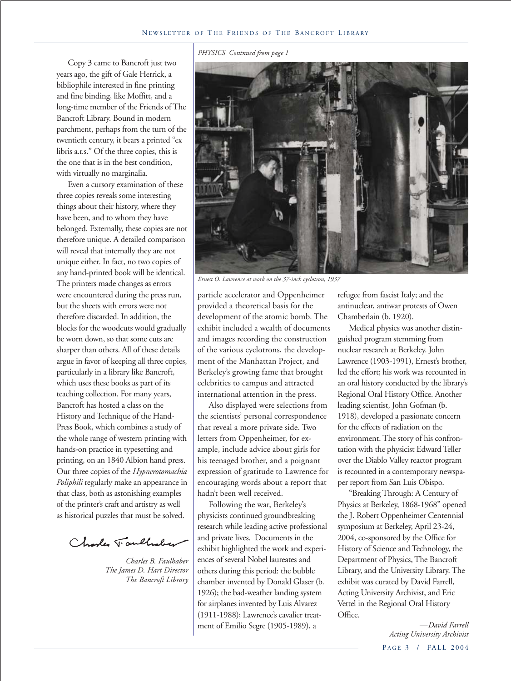#### *PHYSICS Contnued from page 1*

Copy 3 came to Bancroft just two years ago, the gift of Gale Herrick, a bibliophile interested in fine printing and fine binding, like Moffitt, and a long-time member of the Friends of The Bancroft Library. Bound in modern parchment, perhaps from the turn of the twentieth century, it bears a printed "ex libris a.r.s." Of the three copies, this is the one that is in the best condition, with virtually no marginalia.

Even a cursory examination of these three copies reveals some interesting things about their history, where they have been, and to whom they have belonged. Externally, these copies are not therefore unique. A detailed comparison will reveal that internally they are not unique either. In fact, no two copies of any hand-printed book will be identical. The printers made changes as errors were encountered during the press run, but the sheets with errors were not therefore discarded. In addition, the blocks for the woodcuts would gradually be worn down, so that some cuts are sharper than others. All of these details argue in favor of keeping all three copies, particularly in a library like Bancroft, which uses these books as part of its teaching collection. For many years, Bancroft has hosted a class on the History and Technique of the Hand-Press Book, which combines a study of the whole range of western printing with hands-on practice in typesetting and printing, on an 1840 Albion hand press. Our three copies of the *Hypnerotomachia Poliphili* regularly make an appearance in that class, both as astonishing examples of the printer's craft and artistry as well as historical puzzles that must be solved.

Charles Taulholm

*Charles B. Faulhaber The James D. Hart Director The Bancroft Library*



*Ernest O. Lawrence at work on the 37-inch cyclotron, 1937*

particle accelerator and Oppenheimer provided a theoretical basis for the development of the atomic bomb. The exhibit included a wealth of documents and images recording the construction of the various cyclotrons, the development of the Manhattan Project, and Berkeley's growing fame that brought celebrities to campus and attracted international attention in the press.

Also displayed were selections from the scientists' personal correspondence that reveal a more private side. Two letters from Oppenheimer, for example, include advice about girls for his teenaged brother, and a poignant expression of gratitude to Lawrence for encouraging words about a report that hadn't been well received.

Following the war, Berkeley's physicists continued groundbreaking research while leading active professional and private lives. Documents in the exhibit highlighted the work and experiences of several Nobel laureates and others during this period: the bubble chamber invented by Donald Glaser (b. 1926); the bad-weather landing system for airplanes invented by Luis Alvarez (1911-1988); Lawrence's cavalier treatment of Emilio Segre (1905-1989), a

refugee from fascist Italy; and the antinuclear, antiwar protests of Owen Chamberlain (b. 1920).

Medical physics was another distinguished program stemming from nuclear research at Berkeley. John Lawrence (1903-1991), Ernest's brother, led the effort; his work was recounted in an oral history conducted by the library's Regional Oral History Office. Another leading scientist, John Gofman (b. 1918), developed a passionate concern for the effects of radiation on the environment. The story of his confrontation with the physicist Edward Teller over the Diablo Valley reactor program is recounted in a contemporary newspaper report from San Luis Obispo.

"Breaking Through: A Century of Physics at Berkeley, 1868-1968" opened the J. Robert Oppenheimer Centennial symposium at Berkeley, April 23-24, 2004, co-sponsored by the Office for History of Science and Technology, the Department of Physics, The Bancroft Library, and the University Library. The exhibit was curated by David Farrell, Acting University Archivist, and Eric Vettel in the Regional Oral History Office.

> PAGE 3 / FALL 2004 *—David Farrell Acting University Archivist*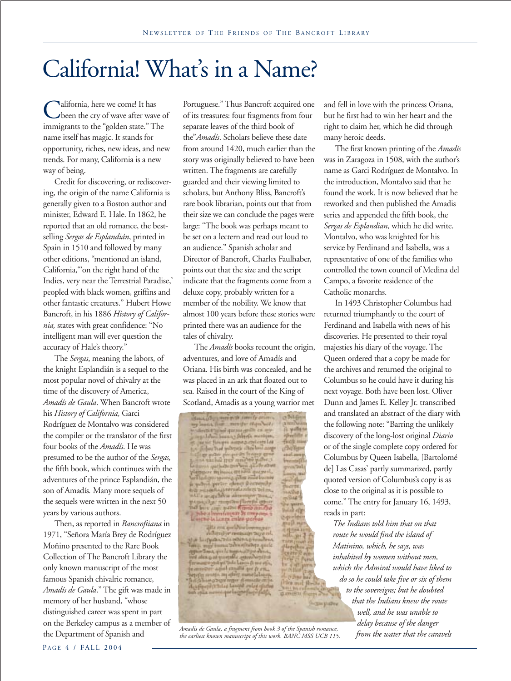# California! What's in a Name?

Alifornia, here we come! It has been the cry of wave after wave of immigrants to the "golden state." The name itself has magic. It stands for opportunity, riches, new ideas, and new trends. For many, California is a new way of being.

Credit for discovering, or rediscovering, the origin of the name California is generally given to a Boston author and minister, Edward E. Hale. In 1862, he reported that an old romance, the bestselling *Sergas de Esplandián*, printed in Spain in 1510 and followed by many other editions, "mentioned an island, California,"'on the right hand of the Indies, very near the Terrestrial Paradise,' peopled with black women, griffins and other fantastic creatures." Hubert Howe Bancroft, in his 1886 *History of California,* states with great confidence: "No intelligent man will ever question the accuracy of Hale's theory."

The *Sergas*, meaning the labors, of the knight Esplandián is a sequel to the most popular novel of chivalry at the time of the discovery of America, *Amadís de Gaula*. When Bancroft wrote his *History of California,* Garci Rodríguez de Montalvo was considered the compiler or the translator of the first four books of the *Amadís*. He was presumed to be the author of the *Sergas,* the fifth book, which continues with the adventures of the prince Esplandián, the son of Amadís*.* Many more sequels of the sequels were written in the next 50 years by various authors.

Then, as reported in *Bancroftiana* in 1971, "Señora María Brey de Rodríguez Moñino presented to the Rare Book Collection of The Bancroft Library the only known manuscript of the most famous Spanish chivalric romance, *Amadís de Gaula*." The gift was made in memory of her husband, "whose distinguished career was spent in part on the Berkeley campus as a member of the Department of Spanish and

Portuguese." Thus Bancroft acquired one of its treasures: four fragments from four separate leaves of the third book of the"*Amadís*. Scholars believe these date from around 1420, much earlier than the story was originally believed to have been written. The fragments are carefully guarded and their viewing limited to scholars, but Anthony Bliss, Bancroft's rare book librarian, points out that from their size we can conclude the pages were large: "The book was perhaps meant to be set on a lectern and read out loud to an audience." Spanish scholar and Director of Bancroft, Charles Faulhaber, points out that the size and the script indicate that the fragments come from a deluxe copy, probably written for a member of the nobility. We know that almost 100 years before these stories were printed there was an audience for the tales of chivalry.

The *Amadís* books recount the origin, adventures, and love of Amadís and Oriana. His birth was concealed, and he was placed in an ark that floated out to sea. Raised in the court of the King of Scotland, Amadis as a young warrior met

Saus of on monitority converts arises loans that meeter then both and a property of the state of the state of the state of the state of the state of the state of the state of the state of the state of the state of the state of the state of the state of the state of the state of the state o la langa enles per

qita era quel Norbe<br>Albertar resinato

*from the water that the caravels Amadis de Gaula, a fragment from book 3 of the Spanish romance, the earliest known manuscript of this work. BANC MSS UCB 115.*

and fell in love with the princess Oriana, but he first had to win her heart and the right to claim her, which he did through many heroic deeds.

The first known printing of the *Amadís* was in Zaragoza in 1508, with the author's name as Garci Rodríguez de Montalvo. In the introduction, Montalvo said that he found the work. It is now believed that he reworked and then published the Amadis series and appended the fifth book, the *Sergas de Esplandian,* which he did write. Montalvo, who was knighted for his service by Ferdinand and Isabella, was a representative of one of the families who controlled the town council of Medina del Campo, a favorite residence of the Catholic monarchs.

In 1493 Christopher Columbus had returned triumphantly to the court of Ferdinand and Isabella with news of his discoveries. He presented to their royal majesties his diary of the voyage. The Queen ordered that a copy be made for the archives and returned the original to Columbus so he could have it during his next voyage. Both have been lost. Oliver Dunn and James E. Kelley Jr. transcribed and translated an abstract of the diary with the following note: "Barring the unlikely discovery of the long-lost original *Diario* or of the single complete copy ordered for Columbus by Queen Isabella, [Bartolomé de] Las Casas' partly summarized, partly quoted version of Columbus's copy is as close to the original as it is possible to come." The entry for January 16, 1493, reads in part:

*The Indians told him that on that route he would find the island of Matinino, which, he says, was inhabited by women without men, which the Admiral would have liked to do so he could take five or six of them to the sovereigns; but he doubted that the Indians knew the route well, and he was unable to delay because of the danger*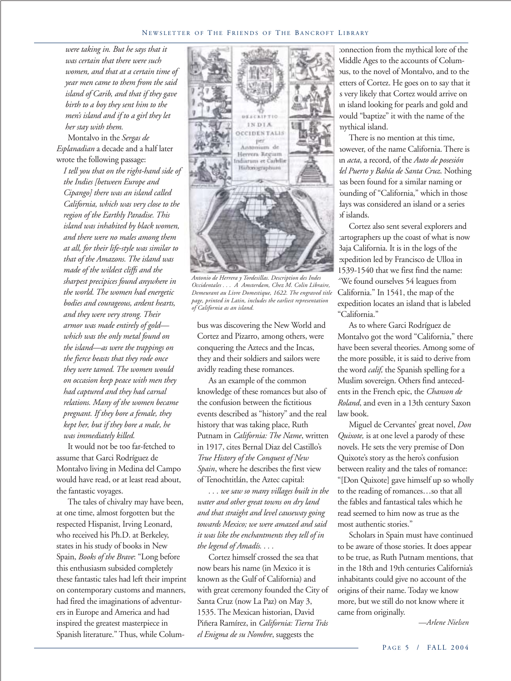*were taking in. But he says that it was certain that there were such women, and that at a certain time of year men came to them from the said island of Carib, and that if they gave birth to a boy they sent him to the men's island and if to a girl they let her stay with them.*

Montalvo in the *Sergas de Esplanadian* a decade and a half later wrote the following passage:

*I tell you that on the right-hand side of the Indies [between Europe and Cipango] there was an island called California, which was very close to the region of the Earthly Paradise. This island was inhabited by black women, and there were no males among them at all, for their life-style was similar to that of the Amazons. The island was made of the wildest cliffs and the sharpest precipices found anywhere in the world. The women had energetic bodies and courageous, ardent hearts, and they were very strong. Their armor was made entirely of gold which was the only metal found on the island—as were the trappings on the fierce beasts that they rode once they were tamed. The women would on occasion keep peace with men they had captured and they had carnal relations. Many of the women became pregnant. If they bore a female, they kept her, but if they bore a male, he was immediately killed.*

It would not be too far-fetched to assume that Garci Rodríguez de Montalvo living in Medina del Campo would have read, or at least read about, the fantastic voyages.

The tales of chivalry may have been, at one time, almost forgotten but the respected Hispanist, Irving Leonard, who received his Ph.D. at Berkeley, states in his study of books in New Spain, *Books of the Brave*: "Long before this enthusiasm subsided completely these fantastic tales had left their imprint on contemporary customs and manners, had fired the imaginations of adventurers in Europe and America and had inspired the greatest masterpiece in Spanish literature." Thus, while Colum-



*Antonio de Herrera y Tordesillas. Description des Indes Occidentales . . . A Amsterdam, Chez M. Colin Libraire, Demeurant au Livre Domestique, 1622. The engraved title page, printed in Latin, includes the earliest representation of California as an island.*

bus was discovering the New World and Cortez and Pizarro, among others, were conquering the Aztecs and the Incas, they and their soldiers and sailors were avidly reading these romances.

As an example of the common knowledge of these romances but also of the confusion between the fictitious events described as "history" and the real history that was taking place, Ruth Putnam in *California: The Name*, written in 1917, cites Bernal Diaz del Castillo's *True History of the Conquest of New Spain*, where he describes the first view of Tenochtitlán, the Aztec capital:

*. . . we saw so many villages built in the water and other great towns on dry land and that straight and level causeway going towards Mexico; we were amazed and said it was like the enchantments they tell of in the legend of Amadís. . . .*

Cortez himself crossed the sea that now bears his name (in Mexico it is known as the Gulf of California) and with great ceremony founded the City of Santa Cruz (now La Paz) on May 3, 1535. The Mexican historian, David Piñera Ramírez, in *California: Tierra Trás el Enigma de su Nombre*, suggests the

connection from the mythical lore of the Middle Ages to the accounts of Columbus, to the novel of Montalvo, and to the letters of Cortez. He goes on to say that it s very likely that Cortez would arrive on an island looking for pearls and gold and would "baptize" it with the name of the mythical island.

There is no mention at this time, however, of the name California. There is an *acta*, a record, of the *Auto de posesión del Puerto y Bahía de Santa Cruz*. Nothing has been found for a similar naming or founding of "California," which in those days was considered an island or a series of islands.

Cortez also sent several explorers and cartographers up the coast of what is now Baja California. It is in the logs of the expedition led by Francisco de Ulloa in 1539-1540 that we first find the name: "We found ourselves 54 leagues from California." In 1541, the map of the expedition locates an island that is labeled "California."

As to where Garci Rodríguez de Montalvo got the word "California," there have been several theories. Among some of the more possible, it is said to derive from the word *calif,* the Spanish spelling for a Muslim sovereign. Others find antecedents in the French epic, the *Chanson de Roland*, and even in a 13th century Saxon law book.

Miguel de Cervantes' great novel, *Don Quixote,* is at one level a parody of these novels. He sets the very premise of Don Quixote's story as the hero's confusion between reality and the tales of romance: "[Don Quixote] gave himself up so wholly to the reading of romances…so that all the fables and fantastical tales which he read seemed to him now as true as the most authentic stories."

Scholars in Spain must have continued to be aware of those stories. It does appear to be true, as Ruth Putnam mentions, that in the 18th and 19th centuries California's inhabitants could give no account of the origins of their name. Today we know more, but we still do not know where it came from originally.

*—Arlene Nielsen*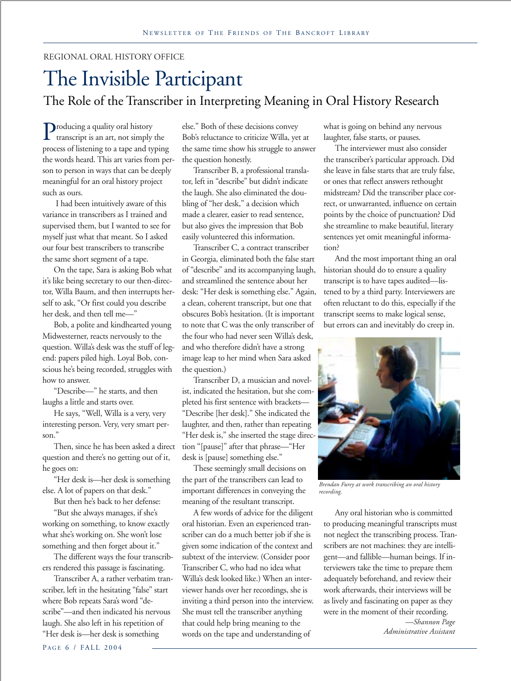#### REGIONAL ORAL HISTORY OFFICE

### The Invisible Participant The Role of the Transcriber in Interpreting Meaning in Oral History Research

Producing a quality oral history transcript is an art, not simply the process of listening to a tape and typing the words heard. This art varies from person to person in ways that can be deeply meaningful for an oral history project such as ours.

 I had been intuitively aware of this variance in transcribers as I trained and supervised them, but I wanted to see for myself just what that meant. So I asked our four best transcribers to transcribe the same short segment of a tape.

On the tape, Sara is asking Bob what it's like being secretary to our then-director, Willa Baum, and then interrupts herself to ask, "Or first could you describe her desk, and then tell me—"

Bob, a polite and kindhearted young Midwesterner, reacts nervously to the question. Willa's desk was the stuff of legend: papers piled high. Loyal Bob, conscious he's being recorded, struggles with how to answer.

"Describe—" he starts, and then laughs a little and starts over.

He says, "Well, Willa is a very, very interesting person. Very, very smart person."

Then, since he has been asked a direct question and there's no getting out of it, he goes on:

"Her desk is—her desk is something else. A lot of papers on that desk."

But then he's back to her defense:

"But she always manages, if she's working on something, to know exactly what she's working on. She won't lose something and then forget about it."

The different ways the four transcribers rendered this passage is fascinating.

Transcriber A, a rather verbatim transcriber, left in the hesitating "false" start where Bob repeats Sara's word "describe"—and then indicated his nervous laugh. She also left in his repetition of "Her desk is—her desk is something

else." Both of these decisions convey Bob's reluctance to criticize Willa, yet at the same time show his struggle to answer the question honestly.

Transcriber B, a professional translator, left in "describe" but didn't indicate the laugh. She also eliminated the doubling of "her desk," a decision which made a clearer, easier to read sentence, but also gives the impression that Bob easily volunteered this information.

Transcriber C, a contract transcriber in Georgia, eliminated both the false start of "describe" and its accompanying laugh, and streamlined the sentence about her desk: "Her desk is something else." Again, a clean, coherent transcript, but one that obscures Bob's hesitation. (It is important to note that C was the only transcriber of the four who had never seen Willa's desk, and who therefore didn't have a strong image leap to her mind when Sara asked the question.)

Transcriber D, a musician and novelist, indicated the hesitation, but she completed his first sentence with brackets— "Describe [her desk]." She indicated the laughter, and then, rather than repeating "Her desk is," she inserted the stage direction "[pause]" after that phrase—"Her desk is [pause] something else."

These seemingly small decisions on the part of the transcribers can lead to important differences in conveying the meaning of the resultant transcript.

A few words of advice for the diligent oral historian. Even an experienced transcriber can do a much better job if she is given some indication of the context and subtext of the interview. (Consider poor Transcriber C, who had no idea what Willa's desk looked like.) When an interviewer hands over her recordings, she is inviting a third person into the interview. She must tell the transcriber anything that could help bring meaning to the words on the tape and understanding of

what is going on behind any nervous laughter, false starts, or pauses.

The interviewer must also consider the transcriber's particular approach. Did she leave in false starts that are truly false, or ones that reflect answers rethought midstream? Did the transcriber place correct, or unwarranted, influence on certain points by the choice of punctuation? Did she streamline to make beautiful, literary sentences yet omit meaningful information?

And the most important thing an oral historian should do to ensure a quality transcript is to have tapes audited—listened to by a third party. Interviewers are often reluctant to do this, especially if the transcript seems to make logical sense, but errors can and inevitably do creep in.



*Brendan Furey at work transcribing an oral history recording.*

Any oral historian who is committed to producing meaningful transcripts must not neglect the transcribing process. Transcribers are not machines: they are intelligent—and fallible—human beings. If interviewers take the time to prepare them adequately beforehand, and review their work afterwards, their interviews will be as lively and fascinating on paper as they were in the moment of their recording.

> *—Shannon Page Administrative Assistant*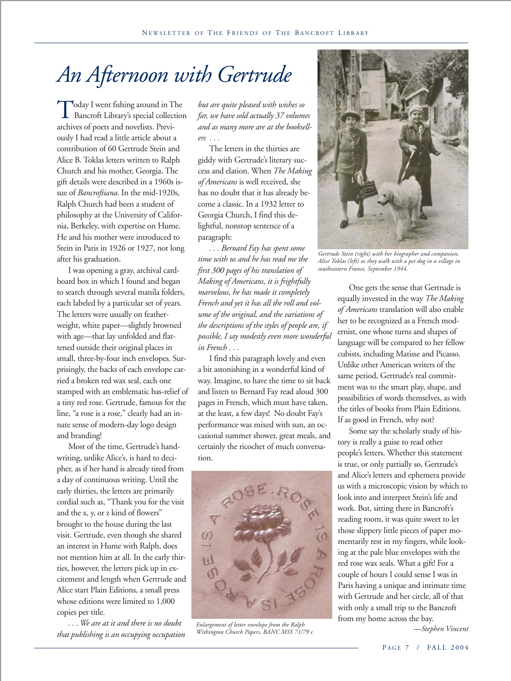# *An Afternoon with Gertrude*

Today I went fishing around in The Bancroft Library's special collection archives of poets and novelists. Previously I had read a little article about a contribution of 60 Gertrude Stein and Alice B. Toklas letters written to Ralph Church and his mother, Georgia. The gift details were described in a 1960s issue of *Bancroftiana*. In the mid-1920s, Ralph Church had been a student of philosophy at the University of California, Berkeley, with expertise on Hume. He and his mother were introduced to Stein in Paris in 1926 or 1927, not long after his graduation.

I was opening a gray, archival cardboard box in which I found and began to search through several manila folders, each labeled by a particular set of years. The letters were usually on featherweight, white paper—slightly browned with age—that lay unfolded and flattened outside their original places in small, three-by-four inch envelopes. Surprisingly, the backs of each envelope carried a broken red wax seal, each one stamped with an emblematic bas-relief of a tiny red rose. Gertrude, famous for the line, "a rose is a rose," clearly had an innate sense of modern-day logo design and branding!

Most of the time, Gertrude's handwriting, unlike Alice's, is hard to decipher, as if her hand is already tired from a day of continuous writing. Until the early thirties, the letters are primarily cordial such as, "Thank you for the visit and the x, y, or z kind of flowers" brought to the house during the last visit. Gertrude, even though she shared an interest in Hume with Ralph, does not mention him at all. In the early thirties, however, the letters pick up in excitement and length when Gertrude and Alice start Plain Editions, a small press whose editions were limited to 1,000 copies per title.

*. . . We are at it and there is no doubt that publishing is an occupying occupation*

*but are quite pleased with wishes so far, we have sold actually 37 volumes and as many more are at the booksellers . . .*

The letters in the thirties are giddy with Gertrude's literary success and elation. When *The Making of Americans* is well received, she has no doubt that it has already become a classic. In a 1932 letter to Georgia Church, I find this delightful, nonstop sentence of a paragraph:

*. . . Bernard Fay has spent some time with us and he has read me the first 300 pages of his translation of Making of Americans, it is frightfully marvelous, he has made it completely French and yet it has all the roll and volume of the original, and the variations of the descriptions of the styles of people are, if possible, I say modestly even more wonderful in French . . .*

I find this paragraph lovely and even a bit astonishing in a wonderful kind of way. Imagine, to have the time to sit back and listen to Bernard Fay read aloud 300 pages in French, which must have taken, at the least, a few days! No doubt Fay's performance was mixed with sun, an occasional summer shower, great meals, and certainly the ricochet of much conversation.



*Enlargement of letter envelope from the Ralph Withington Church Papers, BANC MSS 71/79 c.*



*Gertrude Stein (right) with her biographer and companion, Alice Toklas (left) as they walk with a pet dog in a village in southeastern France, September 1944.*

One gets the sense that Gertrude is equally invested in the way *The Making of Americans* translation will also enable her to be recognized as a French modernist, one whose turns and shapes of language will be compared to her fellow cubists, including Matisse and Picasso. Unlike other American writers of the same period, Gertrude's real commitment was to the smart play, shape, and possibilities of words themselves, as with the titles of books from Plain Editions. If as good in French, why not?

Some say the scholarly study of history is really a guise to read other people's letters. Whether this statement is true, or only partially so, Gertrude's and Alice's letters and ephemera provide us with a microscopic vision by which to look into and interpret Stein's life and work. But, sitting there in Bancroft's reading room, it was quite sweet to let those slippery little pieces of paper momentarily rest in my fingers, while looking at the pale blue envelopes with the red rose wax seals. What a gift! For a couple of hours I could sense I was in Paris having a unique and intimate time with Gertrude and her circle, all of that with only a small trip to the Bancroft from my home across the bay.

*—Stephen Vincent*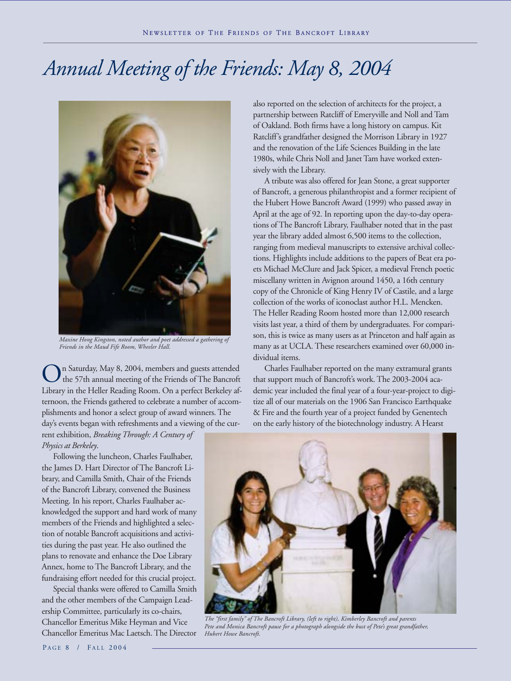# *Annual Meeting of the Friends: May 8, 2004*



*Maxine Hong Kingston, noted author and poet addressed a gathering of Friends in the Maud Fife Room, Wheeler Hall.*

On Saturday, May 8, 2004, members and guests attended<br>the 57th annual meeting of the Friends of The Bancroft Library in the Heller Reading Room. On a perfect Berkeley afternoon, the Friends gathered to celebrate a number of accomplishments and honor a select group of award winners. The day's events began with refreshments and a viewing of the current exhibition, *Breaking Through: A Century of Physics at Berkeley*.

Following the luncheon, Charles Faulhaber, the James D. Hart Director of The Bancroft Library, and Camilla Smith, Chair of the Friends of the Bancroft Library, convened the Business Meeting. In his report, Charles Faulhaber acknowledged the support and hard work of many members of the Friends and highlighted a selection of notable Bancroft acquisitions and activities during the past year. He also outlined the plans to renovate and enhance the Doe Library Annex, home to The Bancroft Library, and the fundraising effort needed for this crucial project.

Special thanks were offered to Camilla Smith and the other members of the Campaign Leadership Committee, particularly its co-chairs, Chancellor Emeritus Mike Heyman and Vice Chancellor Emeritus Mac Laetsch. The Director also reported on the selection of architects for the project, a partnership between Ratcliff of Emeryville and Noll and Tam of Oakland. Both firms have a long history on campus. Kit Ratcliff's grandfather designed the Morrison Library in 1927 and the renovation of the Life Sciences Building in the late 1980s, while Chris Noll and Janet Tam have worked extensively with the Library.

A tribute was also offered for Jean Stone, a great supporter of Bancroft, a generous philanthropist and a former recipient of the Hubert Howe Bancroft Award (1999) who passed away in April at the age of 92. In reporting upon the day-to-day operations of The Bancroft Library, Faulhaber noted that in the past year the library added almost 6,500 items to the collection, ranging from medieval manuscripts to extensive archival collections. Highlights include additions to the papers of Beat era poets Michael McClure and Jack Spicer, a medieval French poetic miscellany written in Avignon around 1450, a 16th century copy of the Chronicle of King Henry IV of Castile, and a large collection of the works of iconoclast author H.L. Mencken. The Heller Reading Room hosted more than 12,000 research visits last year, a third of them by undergraduates. For comparison, this is twice as many users as at Princeton and half again as many as at UCLA. These researchers examined over 60,000 individual items.

Charles Faulhaber reported on the many extramural grants that support much of Bancroft's work. The 2003-2004 academic year included the final year of a four-year-project to digitize all of our materials on the 1906 San Francisco Earthquake & Fire and the fourth year of a project funded by Genentech on the early history of the biotechnology industry. A Hearst



*The "first family" of The Bancroft Library, (left to right), Kimberley Bancroft and parents Pete and Monica Bancroft pause for a photograph alongside the bust of Pete's great grandfather, Hubert Howe Bancroft.*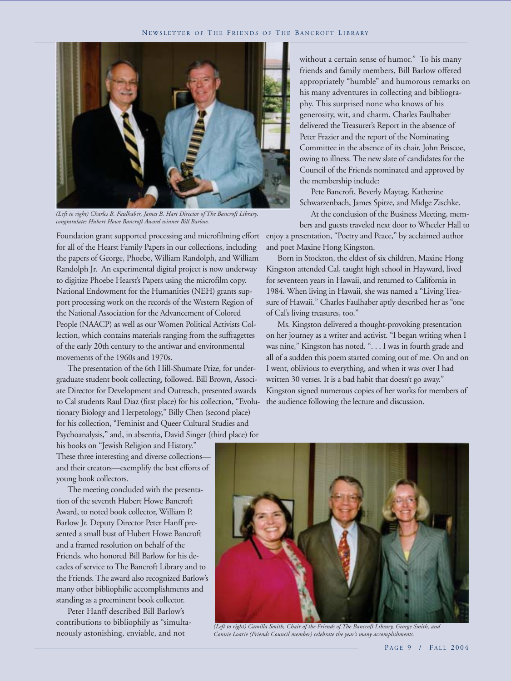

*(Left to right) Charles B. Faulhaber, James B. Hart Director of The Bancroft Library, congratulates Hubert Howe Bancroft Award winner Bill Barlow.*

Foundation grant supported processing and microfilming effort for all of the Hearst Family Papers in our collections, including the papers of George, Phoebe, William Randolph, and William Randolph Jr. An experimental digital project is now underway to digitize Phoebe Hearst's Papers using the microfilm copy. National Endowment for the Humanities (NEH) grants support processing work on the records of the Western Region of the National Association for the Advancement of Colored People (NAACP) as well as our Women Political Activists Collection, which contains materials ranging from the suffragettes of the early 20th century to the antiwar and environmental movements of the 1960s and 1970s.

The presentation of the 6th Hill-Shumate Prize, for undergraduate student book collecting, followed. Bill Brown, Associate Director for Development and Outreach, presented awards to Cal students Raul Diaz (first place) for his collection, "Evolutionary Biology and Herpetology," Billy Chen (second place) for his collection, "Feminist and Queer Cultural Studies and Psychoanalysis," and, in absentia, David Singer (third place) for

without a certain sense of humor." To his many friends and family members, Bill Barlow offered appropriately "humble" and humorous remarks on his many adventures in collecting and bibliography. This surprised none who knows of his generosity, wit, and charm. Charles Faulhaber delivered the Treasurer's Report in the absence of Peter Frazier and the report of the Nominating Committee in the absence of its chair, John Briscoe, owing to illness. The new slate of candidates for the Council of the Friends nominated and approved by the membership include:

Pete Bancroft, Beverly Maytag, Katherine Schwarzenbach, James Spitze, and Midge Zischke.

At the conclusion of the Business Meeting, members and guests traveled next door to Wheeler Hall to enjoy a presentation, "Poetry and Peace," by acclaimed author and poet Maxine Hong Kingston.

Born in Stockton, the eldest of six children, Maxine Hong Kingston attended Cal, taught high school in Hayward, lived for seventeen years in Hawaii, and returned to California in 1984. When living in Hawaii, she was named a "Living Treasure of Hawaii." Charles Faulhaber aptly described her as "one of Cal's living treasures, too."

Ms. Kingston delivered a thought-provoking presentation on her journey as a writer and activist. "I began writing when I was nine," Kingston has noted. ". . . I was in fourth grade and all of a sudden this poem started coming out of me. On and on I went, oblivious to everything, and when it was over I had written 30 verses. It is a bad habit that doesn't go away." Kingston signed numerous copies of her works for members of the audience following the lecture and discussion.

his books on "Jewish Religion and History." These three interesting and diverse collections and their creators—exemplify the best efforts of young book collectors.

The meeting concluded with the presentation of the seventh Hubert Howe Bancroft Award, to noted book collector, William P. Barlow Jr. Deputy Director Peter Hanff presented a small bust of Hubert Howe Bancroft and a framed resolution on behalf of the Friends, who honored Bill Barlow for his decades of service to The Bancroft Library and to the Friends. The award also recognized Barlow's many other bibliophilic accomplishments and standing as a preeminent book collector.

Peter Hanff described Bill Barlow's contributions to bibliophily as "simultaneously astonishing, enviable, and not



*(Left to right) Camilla Smith, Chair of the Friends of The Bancroft Library, George Smith, and Connie Loarie (Friends Council member) celebrate the year's many accomplishments.*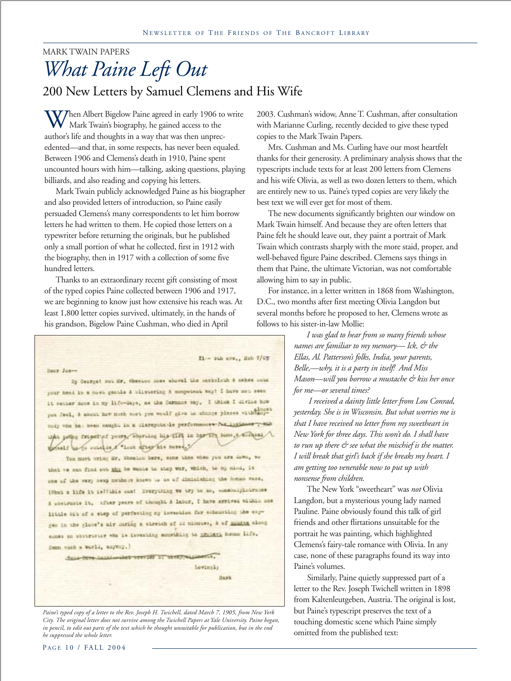### MARK TWAIN PAPERS *What Paine Left Out* 200 New Letters by Samuel Clemens and His Wife

 $V$ Then Albert Bigelow Paine agreed in early 1906 to write Mark Twain's biography, he gained access to the author's life and thoughts in a way that was then unprecedented—and that, in some respects, has never been equaled. Between 1906 and Clemens's death in 1910, Paine spent uncounted hours with him—talking, asking questions, playing billiards, and also reading and copying his letters.

Mark Twain publicly acknowledged Paine as his biographer and also provided letters of introduction, so Paine easily persuaded Clemens's many correspondents to let him borrow letters he had written to them. He copied those letters on a typewriter before returning the originals, but he published only a small portion of what he collected, first in 1912 with the biography, then in 1917 with a collection of some five hundred letters.

Thanks to an extraordinary recent gift consisting of most of the typed copies Paine collected between 1906 and 1917, we are beginning to know just how extensive his reach was. At least 1,800 letter copies survived, ultimately, in the hands of his grandson, Bigelow Paine Cushman, who died in April

**Bear Jones** By Courget out Mr. Whenton does showed the neskeleth A sahes muto your head in a most gantle & blistering A competent way! I have not seem it setter done in my life-days, as the Cornans say. I think I divine how you feel, a soont how much over you would give to shoote places with soybody who has been caught in a liaroputcule performances for indicates . this princ friendief yours, sourcing his till in her IF here, a suchest monets was outside a "Look stray his mrse." You must oring Mr. Whenlow here, some time when you are down, so that we can find out mix he wants to stop war, which, to my mind, is one of the very next nethers haves to us of disinfulning the himse race. (What a life it islikes see! Dramything we try to so, somebodyintrument

A contraste it, after years of thought A labor, I have strived within and little bit of a step of perfecting by investion for echousting the copgen in the globe's air curing a stretch of 22 minutes, & of mining along sines an obstractor who is inventing something to imidely homem life, Denn such a world, anyway.)

dans-cove-handsening-trevier or simppensioners,

**Lovingky Hark** 

f1- suh ave., Esh 7/05

*Paine's typed copy of a letter to the Rev. Joseph H. Twichell, dated March 7, 1905, from New York City. The original letter does not survive among the Twichell Papers at Yale University. Paine began, in pencil, to edit out parts of the text which he thought unsuitable for publication, but in the end he suppressed the whole letter.*

2003. Cushman's widow, Anne T. Cushman, after consultation with Marianne Curling, recently decided to give these typed copies to the Mark Twain Papers.

Mrs. Cushman and Ms. Curling have our most heartfelt thanks for their generosity. A preliminary analysis shows that the typescripts include texts for at least 200 letters from Clemens and his wife Olivia, as well as two dozen letters to them, which are entirely new to us. Paine's typed copies are very likely the best text we will ever get for most of them.

The new documents significantly brighten our window on Mark Twain himself. And because they are often letters that Paine felt he should leave out, they paint a portrait of Mark Twain which contrasts sharply with the more staid, proper, and well-behaved figure Paine described. Clemens says things in them that Paine, the ultimate Victorian, was not comfortable allowing him to say in public.

For instance, in a letter written in 1868 from Washington, D.C., two months after first meeting Olivia Langdon but several months before he proposed to her, Clemens wrote as follows to his sister-in-law Mollie:

> *I was glad to hear from so many friends whose names are familiar to my memory— Ick, & the Ellas, Al. Patterson's folks, India, your parents, Belle,—why, it is a party in itself! And Miss Mason—will you borrow a mustache & kiss her once for me—or several times?*

> *I received a dainty little letter from Lou Conrad, yesterday. She is in Wisconsin. But what worries me is that I have received no letter from my sweetheart in New York for three days. This won't do. I shall have to run up there & see what the mischief is the matter. I will break that girl's back if she breaks my heart. I am getting too venerable now to put up with nonsense from children.*

The New York "sweetheart" was *not* Olivia Langdon, but a mysterious young lady named Pauline. Paine obviously found this talk of girl friends and other flirtations unsuitable for the portrait he was painting, which highlighted Clemens's fairy-tale romance with Olivia. In any case, none of these paragraphs found its way into Paine's volumes.

 Similarly, Paine quietly suppressed part of a letter to the Rev. Joseph Twichell written in 1898 from Kaltenleutgeben, Austria. The original is lost, but Paine's typescript preserves the text of a touching domestic scene which Paine simply omitted from the published text: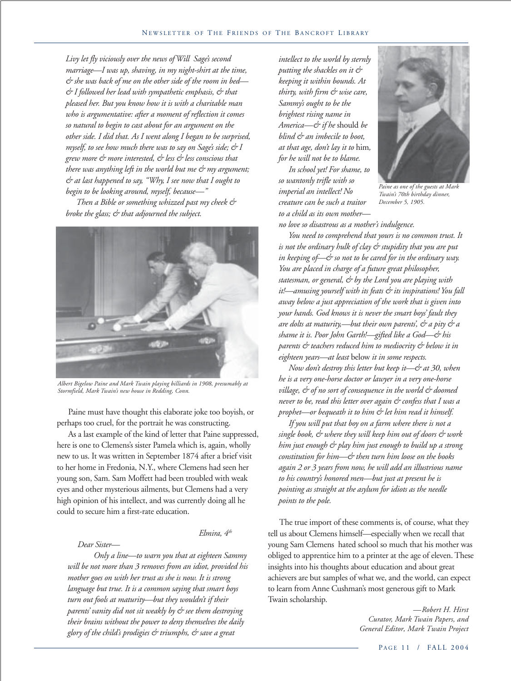*Livy let fly viciously over the news of Will Sage's second marriage—I was up, shaving, in my night-shirt at the time, & she was back of me on the other side of the room in bed— & I followed her lead with sympathetic emphasis, & that pleased her. But you know how it is with a charitable man who is argumentative: after a moment of reflection it comes so natural to begin to cast about for an argument on the other side. I did that. As I went along I began to be surprised, myself, to see how much there was to say on Sage's side; & I grew more & more interested, & less & less conscious that there was anything left in the world but me & my argument; & at last happened to say, "Why, I see now that I ought to begin to be looking around, myself, because—"*

*Then a Bible or something whizzed past my cheek & broke the glass; & that adjourned the subject.*



*Albert Bigelow Paine and Mark Twain playing billiards in 1908, presumably at Stormfield, Mark Twain's new house in Redding, Conn.*

Paine must have thought this elaborate joke too boyish, or perhaps too cruel, for the portrait he was constructing.

As a last example of the kind of letter that Paine suppressed, here is one to Clemens's sister Pamela which is, again, wholly new to us. It was written in September 1874 after a brief visit to her home in Fredonia, N.Y., where Clemens had seen her young son, Sam. Sam Moffett had been troubled with weak eyes and other mysterious ailments, but Clemens had a very high opinion of his intellect, and was currently doing all he could to secure him a first-rate education.

#### *Elmira, 4th*

 *Dear Sister—*

 *Only a line—to warn you that at eighteen Sammy will be not more than 3 removes from an idiot, provided his mother goes on with her trust as she is now. It is strong language but true. It is a common saying that smart boys turn out fools at maturity—but they wouldn't if their parents' vanity did not sit weakly by & see them destroying their brains without the power to deny themselves the daily glory of the child's prodigies & triumphs, & save a great*

*intellect to the world by sternly putting the shackles on it & keeping it within bounds. At thirty, with firm & wise care, Sammy's ought to be the brightest rising name in America—& if he* should *be blind & an imbecile to boot, at that age, don't lay it to* him*, for he will not be to blame.*

 *In school yet! For shame, to so wantonly trifle with so imperial an intellect! No creature can be such a traitor to a child as its own mother—*



*Paine as one of the guests at Mark Twain's 70th birthday dinner, December 5, 1905.*

*no love so disastrous as a mother's indulgence.*

 *You need to comprehend that yours is no common trust. It is not the ordinary hulk of clay & stupidity that you are put in keeping of—& so not to be cared for in the ordinary way. You are placed in charge of a future great philosopher, statesman, or general, & by the Lord you are playing with it!—amusing yourself with its feats & its inspirations! You fall away below a just appreciation of the work that is given into your hands. God knows it is never the smart boys' fault they are dolts at maturity,—but their own parents', & a pity & a shame it is. Poor John Garth!—gifted like a God—& his parents & teachers reduced him to mediocrity & below it in eighteen years—at least* below *it in some respects.*

 *Now don't destroy this letter but keep it—& at 30, when he is a very one-horse doctor or lawyer in a very one-horse village, & of no sort of consequence in the world & doomed never to be, read this letter over again & confess that I was a prophet—or bequeath it to him & let him read it himself.*

 *If you will put that boy on a farm where there is not a single book, & where they will keep him out of doors & work him just enough & play him just enough to build up a strong constitution for him—& then turn him loose on the books again 2 or 3 years from now, he will add an illustrious name to his country's honored men—but just at present he is pointing as straight at the asylum for idiots as the needle points to the pole.*

The true import of these comments is, of course, what they tell us about Clemens himself—especially when we recall that young Sam Clemens hated school so much that his mother was obliged to apprentice him to a printer at the age of eleven. These insights into his thoughts about education and about great achievers are but samples of what we, and the world, can expect to learn from Anne Cushman's most generous gift to Mark Twain scholarship.

> *—Robert H. Hirst Curator, Mark Twain Papers, and General Editor, Mark Twain Project*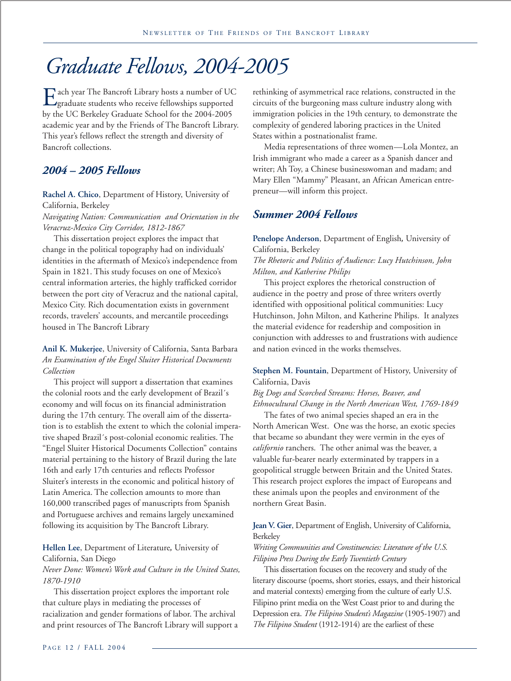## *Graduate Fellows, 2004-2005*

Each year The Bancroft Library hosts a number of UC<br>graduate students who receive fellowships supported by the UC Berkeley Graduate School for the 2004-2005 academic year and by the Friends of The Bancroft Library. This year's fellows reflect the strength and diversity of Bancroft collections.

#### *2004 – 2005 Fellows*

**Rachel A. Chico**, Department of History, University of California, Berkeley

*Navigating Nation: Communication and Orientation in the Veracruz-Mexico City Corridor, 1812-1867*

This dissertation project explores the impact that change in the political topography had on individuals' identities in the aftermath of Mexico's independence from Spain in 1821. This study focuses on one of Mexico's central information arteries, the highly trafficked corridor between the port city of Veracruz and the national capital, Mexico City. Rich documentation exists in government records, travelers' accounts, and mercantile proceedings housed in The Bancroft Library

#### **Anil K. Mukerjee**, University of California, Santa Barbara *An Examination of the Engel Sluiter Historical Documents Collection*

This project will support a dissertation that examines the colonial roots and the early development of Brazil´s economy and will focus on its financial administration during the 17th century. The overall aim of the dissertation is to establish the extent to which the colonial imperative shaped Brazil´s post-colonial economic realities. The "Engel Sluiter Historical Documents Collection" contains material pertaining to the history of Brazil during the late 16th and early 17th centuries and reflects Professor Sluiter's interests in the economic and political history of Latin America. The collection amounts to more than 160,000 transcribed pages of manuscripts from Spanish and Portuguese archives and remains largely unexamined following its acquisition by The Bancroft Library.

#### **Hellen Lee**, Department of Literature*,* University of California, San Diego

*Never Done: Women's Work and Culture in the United States, 1870-1910*

This dissertation project explores the important role that culture plays in mediating the processes of racialization and gender formations of labor. The archival and print resources of The Bancroft Library will support a rethinking of asymmetrical race relations, constructed in the circuits of the burgeoning mass culture industry along with immigration policies in the 19th century, to demonstrate the complexity of gendered laboring practices in the United States within a postnationalist frame.

Media representations of three women—Lola Montez, an Irish immigrant who made a career as a Spanish dancer and writer; Ah Toy, a Chinese businesswoman and madam; and Mary Ellen "Mammy" Pleasant, an African American entrepreneur—will inform this project.

#### *Summer 2004 Fellows*

**Penelope Anderson**, Department of English*,* University of California, Berkeley *The Rhetoric and Politics of Audience: Lucy Hutchinson, John Milton, and Katherine Philips*

This project explores the rhetorical construction of audience in the poetry and prose of three writers overtly identified with oppositional political communities: Lucy Hutchinson, John Milton, and Katherine Philips. It analyzes the material evidence for readership and composition in conjunction with addresses to and frustrations with audience and nation evinced in the works themselves.

#### **Stephen M. Fountain**, Department of History, University of California, Davis

#### *Big Dogs and Scorched Streams: Horses, Beaver, and Ethnocultural Change in the North American West, 1769-1849*

The fates of two animal species shaped an era in the North American West. One was the horse, an exotic species that became so abundant they were vermin in the eyes of *californio* ranchers. The other animal was the beaver, a valuable fur-bearer nearly exterminated by trappers in a geopolitical struggle between Britain and the United States. This research project explores the impact of Europeans and these animals upon the peoples and environment of the northern Great Basin.

#### **Jean V. Gier**, Department of English, University of California, Berkeley

#### *Writing Communities and Constituencies: Literature of the U.S. Filipino Press During the Early Twentieth Century*

This dissertation focuses on the recovery and study of the literary discourse (poems, short stories, essays, and their historical and material contexts) emerging from the culture of early U.S. Filipino print media on the West Coast prior to and during the Depression era. *The Filipino Student's Magazine* (1905-1907) and *The Filipino Student* (1912-1914) are the earliest of these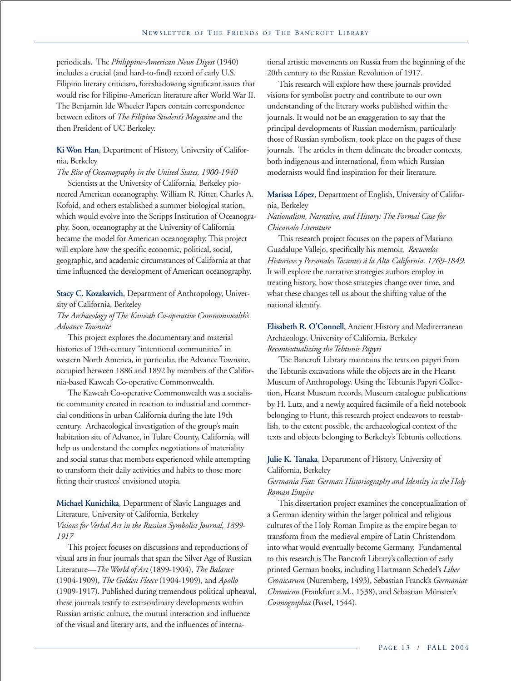periodicals. The *Philippine-American News Digest* (1940) includes a crucial (and hard-to-find) record of early U.S. Filipino literary criticism, foreshadowing significant issues that would rise for Filipino-American literature after World War II. The Benjamin Ide Wheeler Papers contain correspondence between editors of *The Filipino Student's Magazine* and the then President of UC Berkeley.

**Ki Won Han**, Department of History, University of California, Berkeley

*The Rise of Oceanography in the United States, 1900-1940* Scientists at the University of California, Berkeley pio-

neered American oceanography. William R. Ritter, Charles A. Kofoid, and others established a summer biological station, which would evolve into the Scripps Institution of Oceanography. Soon, oceanography at the University of California became the model for American oceanography. This project will explore how the specific economic, political, social, geographic, and academic circumstances of California at that time influenced the development of American oceanography.

**Stacy C. Kozakavich**, Department of Anthropology, University of California, Berkeley

#### *The Archaeology of The Kaweah Co-operative Commonwealth's Advance Townsite*

This project explores the documentary and material histories of 19th-century "intentional communities" in western North America, in particular, the Advance Townsite, occupied between 1886 and 1892 by members of the California-based Kaweah Co-operative Commonwealth.

The Kaweah Co-operative Commonwealth was a socialistic community created in reaction to industrial and commercial conditions in urban California during the late 19th century. Archaeological investigation of the group's main habitation site of Advance, in Tulare County, California, will help us understand the complex negotiations of materiality and social status that members experienced while attempting to transform their daily activities and habits to those more fitting their trustees' envisioned utopia.

**Michael Kunichika**, Department of Slavic Languages and Literature, University of California, Berkeley *Visions for Verbal Art in the Russian Symbolist Journal, 1899- 1917*

This project focuses on discussions and reproductions of visual arts in four journals that span the Silver Age of Russian Literature—*The World of Art* (1899-1904), *The Balance* (1904-1909), *The Golden Fleece* (1904-1909), and *Apollo* (1909-1917). Published during tremendous political upheaval, these journals testify to extraordinary developments within Russian artistic culture, the mutual interaction and influence of the visual and literary arts, and the influences of international artistic movements on Russia from the beginning of the 20th century to the Russian Revolution of 1917.

This research will explore how these journals provided visions for symbolist poetry and contribute to our own understanding of the literary works published within the journals. It would not be an exaggeration to say that the principal developments of Russian modernism, particularly those of Russian symbolism, took place on the pages of these journals. The articles in them delineate the broader contexts, both indigenous and international, from which Russian modernists would find inspiration for their literature.

#### **Marissa López**, Department of English, University of California, Berkeley

#### *Nationalism, Narrative, and History: The Formal Case for Chicana/o Literature*

This research project focuses on the papers of Mariano Guadalupe Vallejo, specifically his memoir, *Recuerdos Historicos y Personales Tocantes á la Alta California, 1769-1849*. It will explore the narrative strategies authors employ in treating history, how those strategies change over time, and what these changes tell us about the shifting value of the national identify.

#### **Elisabeth R. O'Connell**, Ancient History and Mediterranean Archaeology, University of California, Berkeley *Recontextualizing the Tebtunis Papyri*

The Bancroft Library maintains the texts on papyri from the Tebtunis excavations while the objects are in the Hearst Museum of Anthropology. Using the Tebtunis Papyri Collection, Hearst Museum records, Museum catalogue publications by H. Lutz, and a newly acquired facsimile of a field notebook belonging to Hunt, this research project endeavors to reestablish, to the extent possible, the archaeological context of the texts and objects belonging to Berkeley's Tebtunis collections.

#### **Julie K. Tanaka**, Department of History, University of California, Berkeley

#### *Germania Fiat: German Historiography and Identity in the Holy Roman Empire*

This dissertation project examines the conceptualization of a German identity within the larger political and religious cultures of the Holy Roman Empire as the empire began to transform from the medieval empire of Latin Christendom into what would eventually become Germany. Fundamental to this research is The Bancroft Library's collection of early printed German books, including Hartmann Schedel's *Liber Cronicarum* (Nuremberg, 1493), Sebastian Franck's *Germaniae Chronicon* (Frankfurt a.M., 1538), and Sebastian Münster's *Cosmographia* (Basel, 1544).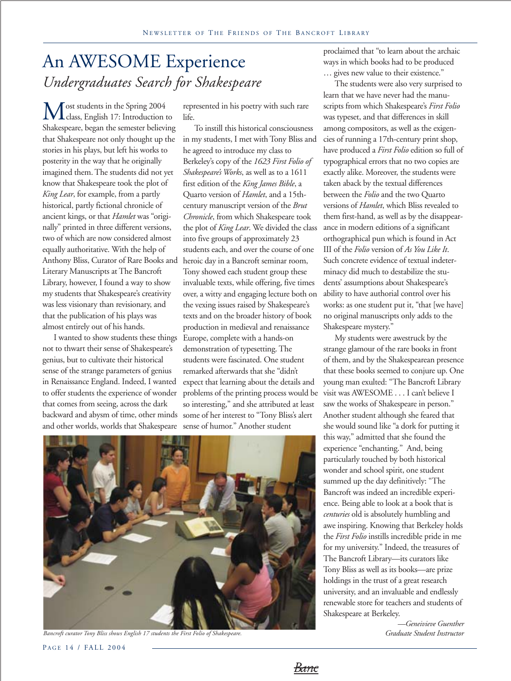### An AWESOME Experience *Undergraduates Search for Shakespeare*

ost students in the Spring 2004 class, English 17: Introduction to Shakespeare, began the semester believing that Shakespeare not only thought up the stories in his plays, but left his works to posterity in the way that he originally imagined them. The students did not yet know that Shakespeare took the plot of *King Lear*, for example, from a partly historical, partly fictional chronicle of ancient kings, or that *Hamlet* was "originally" printed in three different versions, two of which are now considered almost equally authoritative. With the help of Anthony Bliss, Curator of Rare Books and Literary Manuscripts at The Bancroft Library, however, I found a way to show my students that Shakespeare's creativity was less visionary than revisionary, and that the publication of his plays was almost entirely out of his hands.

I wanted to show students these things not to thwart their sense of Shakespeare's genius, but to cultivate their historical sense of the strange parameters of genius in Renaissance England. Indeed, I wanted to offer students the experience of wonder that comes from seeing, across the dark backward and abysm of time, other minds and other worlds, worlds that Shakespeare

represented in his poetry with such rare life.

To instill this historical consciousness in my students, I met with Tony Bliss and he agreed to introduce my class to Berkeley's copy of the *1623 First Folio of Shakespeare's Works*, as well as to a 1611 first edition of the *King James Bible*, a Quarto version of *Hamlet*, and a 15thcentury manuscript version of the *Brut Chronicle*, from which Shakespeare took the plot of *King Lear*. We divided the class into five groups of approximately 23 students each, and over the course of one heroic day in a Bancroft seminar room, Tony showed each student group these invaluable texts, while offering, five times over, a witty and engaging lecture both on the vexing issues raised by Shakespeare's texts and on the broader history of book production in medieval and renaissance Europe, complete with a hands-on demonstration of typesetting. The students were fascinated. One student remarked afterwards that she "didn't expect that learning about the details and problems of the printing process would be so interesting," and she attributed at least some of her interest to "Tony Bliss's alert sense of humor." Another student

proclaimed that "to learn about the archaic ways in which books had to be produced … gives new value to their existence."

The students were also very surprised to learn that we have never had the manuscripts from which Shakespeare's *First Folio* was typeset, and that differences in skill among compositors, as well as the exigencies of running a 17th-century print shop, have produced a *First Folio* edition so full of typographical errors that no two copies are exactly alike. Moreover, the students were taken aback by the textual differences between the *Folio* and the two Quarto versions of *Hamlet*, which Bliss revealed to them first-hand, as well as by the disappearance in modern editions of a significant orthographical pun which is found in Act III of the *Folio* version of *As You Like It*. Such concrete evidence of textual indeterminacy did much to destabilize the students' assumptions about Shakespeare's ability to have authorial control over his works: as one student put it, "that [we have] no original manuscripts only adds to the Shakespeare mystery."

My students were awestruck by the strange glamour of the rare books in front of them, and by the Shakespearean presence that these books seemed to conjure up. One young man exulted: "The Bancroft Library visit was AWESOME . . . I can't believe I saw the works of Shakespeare in person." Another student although she feared that she would sound like "a dork for putting it this way," admitted that she found the experience "enchanting." And, being particularly touched by both historical wonder and school spirit, one student summed up the day definitively: "The Bancroft was indeed an incredible experience. Being able to look at a book that is *centuries* old is absolutely humbling and awe inspiring. Knowing that Berkeley holds the *First Folio* instills incredible pride in me for my university." Indeed, the treasures of The Bancroft Library—its curators like Tony Bliss as well as its books—are prize holdings in the trust of a great research university, and an invaluable and endlessly renewable store for teachers and students of Shakespeare at Berkeley.

> *—Geneivieve Guenther Graduate Student Instructor*



*Bancroft curator Tony Bliss shows English 17 students the First Folio of Shakespeare.*

P AGE 14 / FALL 2004

Banc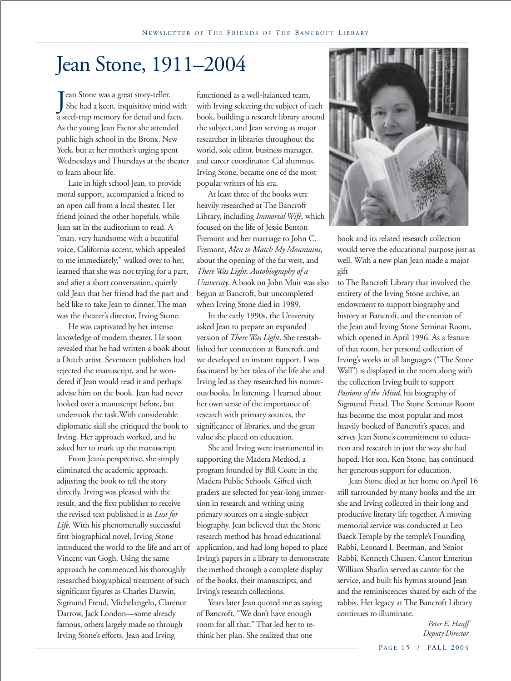### Jean Stone, 1911–2004

J ean Stone was a great story-teller. She had a keen, inquisitive mind with a steel-trap memory for detail and facts. As the young Jean Factor she attended public high school in the Bronx, New York, but at her mother's urging spent Wednesdays and Thursdays at the theater to learn about life.

Late in high school Jean, to provide moral support, accompanied a friend to an open call from a local theater. Her friend joined the other hopefuls, while Jean sat in the auditorium to read. A "man, very handsome with a beautiful voice, California accent, which appealed to me immediately," walked over to her, learned that she was not trying for a part, and after a short conversation, quietly told Jean that her friend had the part and he'd like to take Jean to dinner. The man was the theater's director, Irving Stone.

He was captivated by her intense knowledge of modern theater. He soon revealed that he had written a book about a Dutch artist. Seventeen publishers had rejected the manuscript, and he wondered if Jean would read it and perhaps advise him on the book. Jean had never looked over a manuscript before, but undertook the task.With considerable diplomatic skill she critiqued the book to Irving. Her approach worked, and he asked her to mark up the manuscript.

From Jean's perspective, she simply eliminated the academic approach, adjusting the book to tell the story directly. Irving was pleased with the result, and the first publisher to receive the revised text published it as *Lust for Life*. With his phenomenally successful first biographical novel, Irving Stone introduced the world to the life and art of Vincent van Gogh. Using the same approach he commenced his thoroughly researched biographical treatment of such significant figures as Charles Darwin, Sigmund Freud, Michelangelo, Clarence Darrow, Jack London—some already famous, others largely made so through Irving Stone's efforts. Jean and Irving

functioned as a well-balanced team, with Irving selecting the subject of each book, building a research library around the subject, and Jean serving as major researcher in libraries throughout the world, sole editor, business manager, and career coordinator. Cal alumnus, Irving Stone, became one of the most popular writers of his era.

At least three of the books were heavily researched at The Bancroft Library, including *Immortal Wife*, which focused on the life of Jessie Benton Fremont and her marriage to John C. Fremont, *Men to Match My Mountains*, about the opening of the far west, and *There Was Light: Autobiography of a University*. A book on John Muir was also begun at Bancroft, but uncompleted when Irving Stone died in 1989.

In the early 1990s, the University asked Jean to prepare an expanded version of *There Was Light*. She reestablished her connection at Bancroft, and we developed an instant rapport. I was fascinated by her tales of the life she and Irving led as they researched his numerous books. In listening, I learned about her own sense of the importance of research with primary sources, the significance of libraries, and the great value she placed on education.

She and Irving were instrumental in supporting the Madera Method, a program founded by Bill Coate in the Madera Public Schools. Gifted sixth graders are selected for year-long immersion in research and writing using primary sources on a single-subject biography. Jean believed that the Stone research method has broad educational application, and had long hoped to place Irving's papers in a library to demonstrate the method through a complete display of the books, their manuscripts, and Irving's research collections.

Years later Jean quoted me as saying of Bancroft, "We don't have enough room for all that." That led her to rethink her plan. She realized that one



book and its related research collection would serve the educational purpose just as well. With a new plan Jean made a major gift

to The Bancroft Library that involved the entirety of the Irving Stone archive, an endowment to support biography and history at Bancroft, and the creation of the Jean and Irving Stone Seminar Room, which opened in April 1996. As a feature of that room, her personal collection of Irving's works in all languages ("The Stone Wall") is displayed in the room along with the collection Irving built to support *Passions of the Mind*, his biography of Sigmund Freud. The Stone Seminar Room has become the most popular and most heavily booked of Bancroft's spaces, and serves Jean Stone's commitment to education and research in just the way she had hoped. Her son, Ken Stone, has continued her generous support for education.

Jean Stone died at her home on April 16 still surrounded by many books and the art she and Irving collected in their long and productive literary life together. A moving memorial service was conducted at Leo Baeck Temple by the temple's Founding Rabbi, Leonard I. Beerman, and Senior Rabbi, Kenneth Chasen. Cantor Emeritus William Sharlin served as cantor for the service, and built his hymns around Jean and the reminiscences shared by each of the rabbis. Her legacy at The Bancroft Library continues to illuminate.

*Peter E. Hanff Deputy Director*